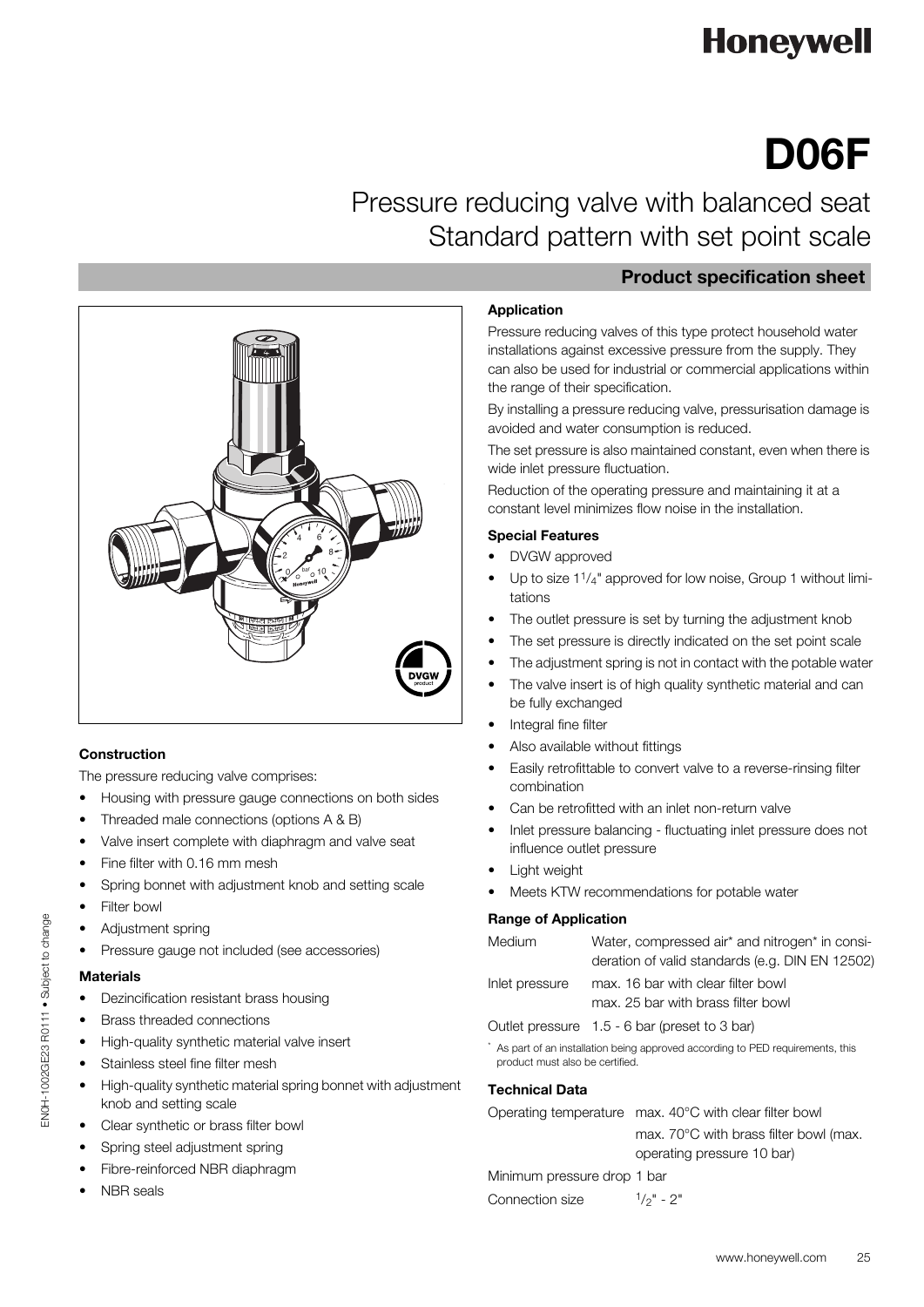## **Honeywell**

# **D06F**

Pressure reducing valve with balanced seat Standard pattern with set point scale



#### **Construction**

The pressure reducing valve comprises:

- Housing with pressure gauge connections on both sides
- Threaded male connections (options A & B)
- Valve insert complete with diaphragm and valve seat
- Fine filter with 0.16 mm mesh
- Spring bonnet with adjustment knob and setting scale
- Filter bowl
- Adjustment spring
- Pressure gauge not included (see accessories)

#### **Materials**

EN0H-1002GE23 R0111 • Subject to change

ENOH-1002GE23 R0111 . Subject to change

- Dezincification resistant brass housing
- Brass threaded connections
- High-quality synthetic material valve insert
- Stainless steel fine filter mesh
- High-quality synthetic material spring bonnet with adjustment knob and setting scale
- Clear synthetic or brass filter bowl
- Spring steel adjustment spring
- Fibre-reinforced NBR diaphragm
- NBR seals

### **Product specification sheet**

#### **Application**

Pressure reducing valves of this type protect household water installations against excessive pressure from the supply. They can also be used for industrial or commercial applications within the range of their specification.

By installing a pressure reducing valve, pressurisation damage is avoided and water consumption is reduced.

The set pressure is also maintained constant, even when there is wide inlet pressure fluctuation.

Reduction of the operating pressure and maintaining it at a constant level minimizes flow noise in the installation.

#### **Special Features**

- DVGW approved
- Up to size  $1^{1}/_{4}$ " approved for low noise, Group 1 without limitations
- The outlet pressure is set by turning the adjustment knob
- The set pressure is directly indicated on the set point scale
- The adjustment spring is not in contact with the potable water
- The valve insert is of high quality synthetic material and can be fully exchanged
- Integral fine filter
- Also available without fittings
- Easily retrofittable to convert valve to a reverse-rinsing filter combination
- Can be retrofitted with an inlet non-return valve
- Inlet pressure balancing fluctuating inlet pressure does not influence outlet pressure
- Light weight
- Meets KTW recommendations for potable water

#### **Range of Application**

|                                                                                                                  | Medium         | Water, compressed air* and nitrogen* in consi-  |  |  |  |  |
|------------------------------------------------------------------------------------------------------------------|----------------|-------------------------------------------------|--|--|--|--|
|                                                                                                                  |                | deration of valid standards (e.g. DIN EN 12502) |  |  |  |  |
|                                                                                                                  | Inlet pressure | max. 16 bar with clear filter bowl              |  |  |  |  |
|                                                                                                                  |                | max. 25 bar with brass filter bowl              |  |  |  |  |
|                                                                                                                  |                | Outlet pressure 1.5 - 6 bar (preset to 3 bar)   |  |  |  |  |
| As part of an installation being approved according to PED requirements, this<br>product must also be certified. |                |                                                 |  |  |  |  |

#### **Technical Data**

Operating temperature max. 40°C with clear filter bowl

max. 70°C with brass filter bowl (max. operating pressure 10 bar)

Minimum pressure drop 1 bar

Connection size  $1/p'' - 2''$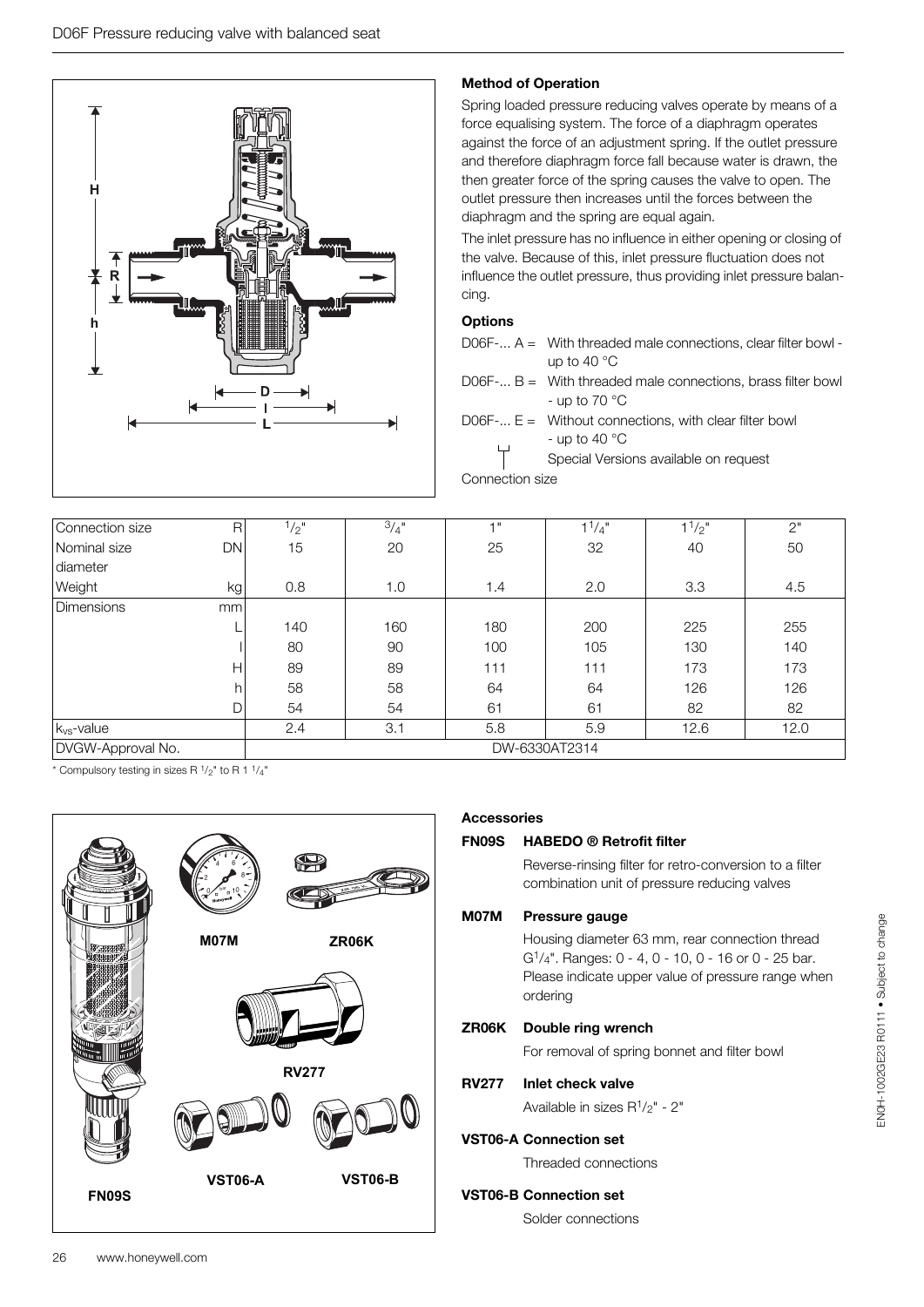

#### **Method of Operation**

Spring loaded pressure reducing valves operate by means of a force equalising system. The force of a diaphragm operates against the force of an adjustment spring. If the outlet pressure and therefore diaphragm force fall because water is drawn, the then greater force of the spring causes the valve to open. The outlet pressure then increases until the forces between the diaphragm and the spring are equal again.

The inlet pressure has no influence in either opening or closing of the valve. Because of this, inlet pressure fluctuation does not influence the outlet pressure, thus providing inlet pressure balancing.

#### **Options**

- D06F $-$ ... A = With threaded male connections, clear filter bowl up to 40 °C
- D06F-...  $B =$  With threaded male connections, brass filter bowl - up to 70 °C

D06F-...  $E =$  Without connections, with clear filter bowl - up to 40  $^{\circ}$ C

Special Versions available on request Connection size

| Connection size        | R             | $1/2$ " | 3/4" | 4 <sup>11</sup> | $1^{1}/4$ " | $1^{1/2}$ | 2"   |
|------------------------|---------------|---------|------|-----------------|-------------|-----------|------|
| Nominal size           | DN            | 15      | 20   | 25              | 32          | 40        | 50   |
| diameter               |               |         |      |                 |             |           |      |
| Weight                 | kg            | 0.8     | 1.0  | 1.4             | 2.0         | 3.3       | 4.5  |
| <b>Dimensions</b>      | mm            |         |      |                 |             |           |      |
|                        |               | 140     | 160  | 180             | 200         | 225       | 255  |
|                        |               | 80      | 90   | 100             | 105         | 130       | 140  |
|                        | Н             | 89      | 89   | 111             | 111         | 173       | 173  |
|                        | h             | 58      | 58   | 64              | 64          | 126       | 126  |
|                        |               | 54      | 54   | 61              | 61          | 82        | 82   |
| k <sub>vs</sub> -value |               | 2.4     | 3.1  | 5.8             | 5.9         | 12.6      | 12.0 |
| DVGW-Approval No.      | DW-6330AT2314 |         |      |                 |             |           |      |

 $*$  Compulsory testing in sizes R  $1/2$ " to R 1  $1/4$ "



#### **Accessories**

#### **FN09S HABEDO ® Retrofit filter**

Reverse-rinsing filter for retro-conversion to a filter combination unit of pressure reducing valves

#### **M07M Pressure gauge**

Housing diameter 63 mm, rear connection thread G1/4". Ranges: 0 - 4, 0 - 10, 0 - 16 or 0 - 25 bar. Please indicate upper value of pressure range when ordering

#### **ZR06K Double ring wrench**

For removal of spring bonnet and filter bowl

#### **RV277 Inlet check valve**

Available in sizes  $R^{1}/2$ " - 2"

#### **VST06-A Connection set**

Threaded connections

#### **VST06-B Connection set**

Solder connections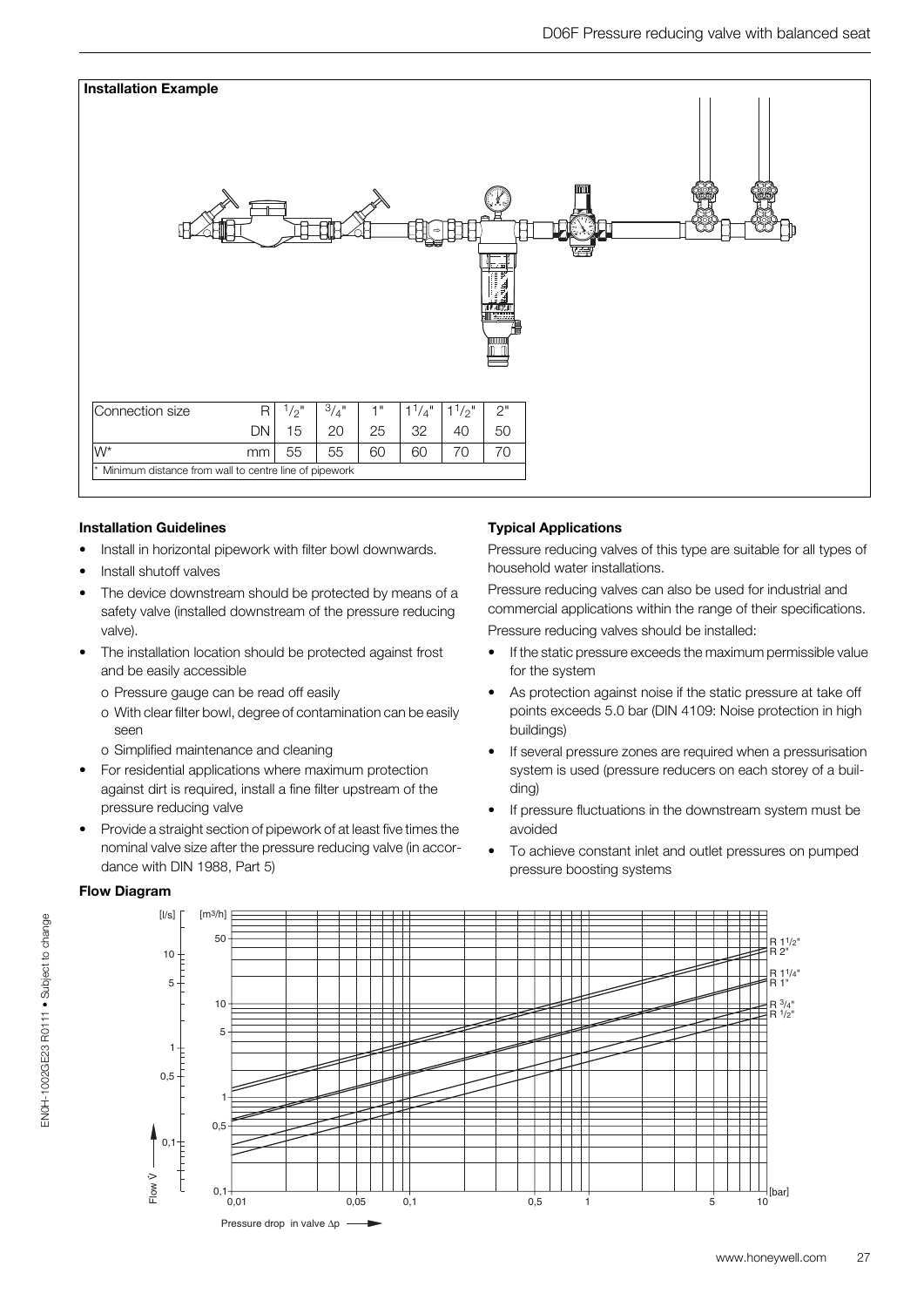

#### **Installation Guidelines**

- Install in horizontal pipework with filter bowl downwards.
- Install shutoff valves
- The device downstream should be protected by means of a safety valve (installed downstream of the pressure reducing valve).
- The installation location should be protected against frost and be easily accessible
	- o Pressure gauge can be read off easily
	- o With clear filter bowl, degree of contamination can be easily seen
	- o Simplified maintenance and cleaning
- For residential applications where maximum protection against dirt is required, install a fine filter upstream of the pressure reducing valve
- Provide a straight section of pipework of at least five times the nominal valve size after the pressure reducing valve (in accordance with DIN 1988, Part 5)

#### **Typical Applications**

Pressure reducing valves of this type are suitable for all types of household water installations.

Pressure reducing valves can also be used for industrial and commercial applications within the range of their specifications. Pressure reducing valves should be installed:

- If the static pressure exceeds the maximum permissible value for the system
- As protection against noise if the static pressure at take off points exceeds 5.0 bar (DIN 4109: Noise protection in high buildings)
- If several pressure zones are required when a pressurisation system is used (pressure reducers on each storey of a building)
- If pressure fluctuations in the downstream system must be avoided
- To achieve constant inlet and outlet pressures on pumped pressure boosting systems



#### **Flow Diagram**